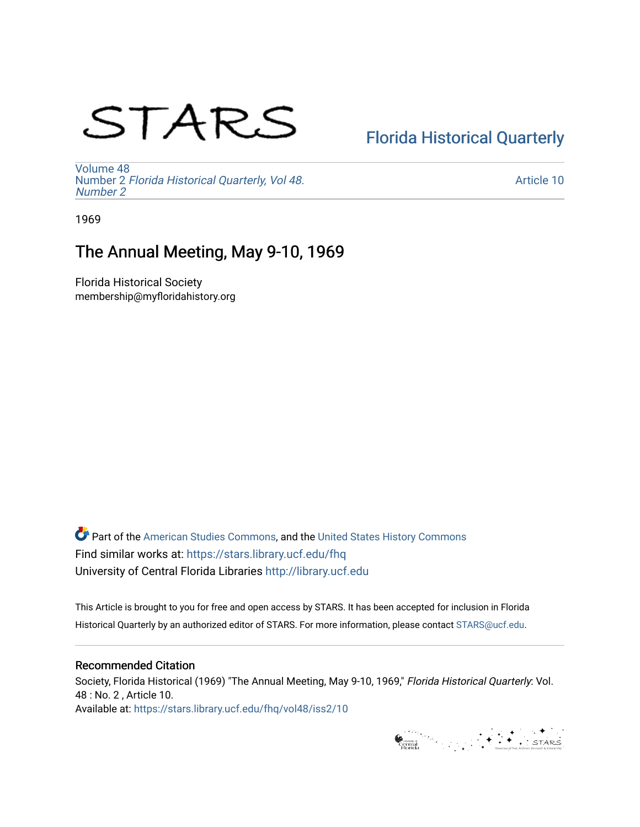# STARS

# [Florida Historical Quarterly](https://stars.library.ucf.edu/fhq)

[Volume 48](https://stars.library.ucf.edu/fhq/vol48) Number 2 [Florida Historical Quarterly, Vol 48.](https://stars.library.ucf.edu/fhq/vol48/iss2) [Number 2](https://stars.library.ucf.edu/fhq/vol48/iss2)

[Article 10](https://stars.library.ucf.edu/fhq/vol48/iss2/10) 

1969

# The Annual Meeting, May 9-10, 1969

Florida Historical Society membership@myfloridahistory.org

**C** Part of the [American Studies Commons](http://network.bepress.com/hgg/discipline/439?utm_source=stars.library.ucf.edu%2Ffhq%2Fvol48%2Fiss2%2F10&utm_medium=PDF&utm_campaign=PDFCoverPages), and the United States History Commons Find similar works at: <https://stars.library.ucf.edu/fhq> University of Central Florida Libraries [http://library.ucf.edu](http://library.ucf.edu/) 

This Article is brought to you for free and open access by STARS. It has been accepted for inclusion in Florida Historical Quarterly by an authorized editor of STARS. For more information, please contact [STARS@ucf.edu.](mailto:STARS@ucf.edu)

### Recommended Citation

Society, Florida Historical (1969) "The Annual Meeting, May 9-10, 1969," Florida Historical Quarterly: Vol. 48 : No. 2 , Article 10. Available at: [https://stars.library.ucf.edu/fhq/vol48/iss2/10](https://stars.library.ucf.edu/fhq/vol48/iss2/10?utm_source=stars.library.ucf.edu%2Ffhq%2Fvol48%2Fiss2%2F10&utm_medium=PDF&utm_campaign=PDFCoverPages)

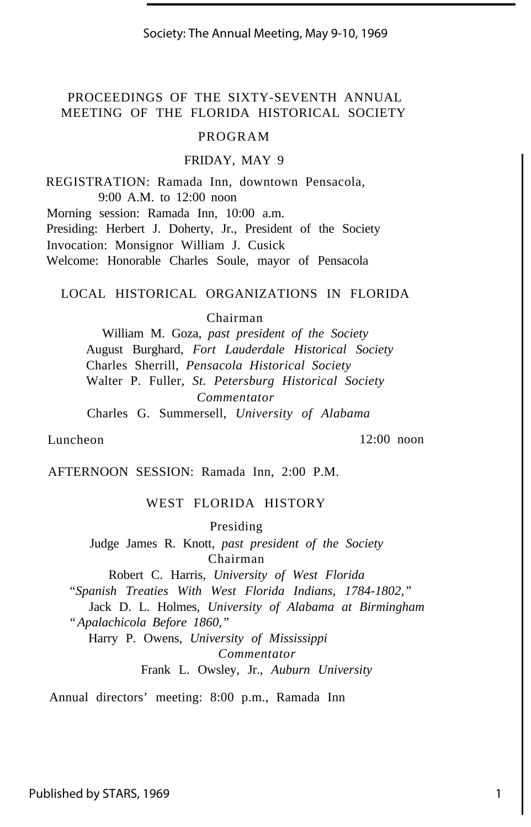Society: The Annual Meeting, May 9-10, 1969

## PROCEEDINGS OF THE SIXTY-SEVENTH ANNUAL MEETING OF THE FLORIDA HISTORICAL SOCIETY

#### PROGRAM

#### FRIDAY, MAY 9

REGISTRATION: Ramada Inn, downtown Pensacola, 9:00 A.M. to 12:00 noon

Morning session: Ramada Inn, 10:00 a.m. Presiding: Herbert J. Doherty, Jr., President of the Society Invocation: Monsignor William J. Cusick Welcome: Honorable Charles Soule, mayor of Pensacola

#### LOCAL HISTORICAL ORGANIZATIONS IN FLORIDA

Chairman

William M. Goza, *past president of the Society* August Burghard, *Fort Lauderdale Historical Society* Charles Sherrill, *Pensacola Historical Society* Walter P. Fuller, *St. Petersburg Historical Society Commentator* Charles G. Summersell, *University of Alabama*

Luncheon 12:00 noon

AFTERNOON SESSION: Ramada Inn, 2:00 P.M.

#### WEST FLORIDA HISTORY

Presiding

Judge James R. Knott, *past president of the Society* Chairman

Robert C. Harris, *University of West Florida*

*"Spanish Treaties With West Florida Indians, 1784-1802,"*

Jack D. L. Holmes, *University of Alabama at Birmingham "Apalachicola Before 1860,"*

Harry P. Owens, *University of Mississippi Commentator*

Frank L. Owsley, Jr., *Auburn University*

Annual directors' meeting: 8:00 p.m., Ramada Inn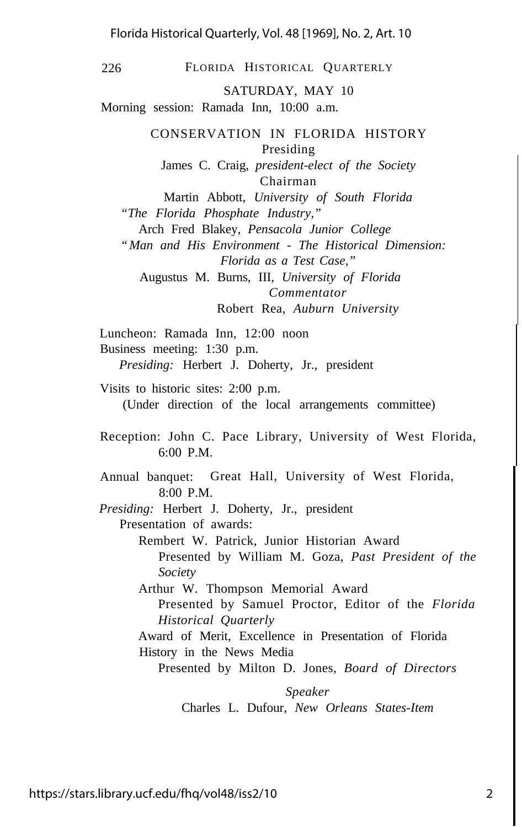Florida Historical Quarterly, Vol. 48 [1969], No. 2, Art. 10

226 FLORIDA HISTORICAL QUARTERLY

SATURDAY, MAY 10

Morning session: Ramada Inn, 10:00 a.m.

CONSERVATION IN FLORIDA HISTORY Presiding James C. Craig, *president-elect of the Society* Chairman

Martin Abbott, *University of South Florida "The Florida Phosphate Industry,"*

Arch Fred Blakey, *Pensacola Junior College*

*"Man and His Environment - The Historical Dimension: Florida as a Test Case,"*

Augustus M. Burns, III, *University of Florida Commentator* Robert Rea, *Auburn University*

Luncheon: Ramada Inn, 12:00 noon Business meeting: 1:30 p.m. *Presiding:* Herbert J. Doherty, Jr., president

Visits to historic sites: 2:00 p.m.

(Under direction of the local arrangements committee)

Reception: John C. Pace Library, University of West Florida, 6:00 P.M.

Annual banquet: Great Hall, University of West Florida, 8:00 P.M.

*Presiding:* Herbert J. Doherty, Jr., president

Presentation of awards:

Rembert W. Patrick, Junior Historian Award Presented by William M. Goza, *Past President of the Society*

Arthur W. Thompson Memorial Award Presented by Samuel Proctor, Editor of the *Florida Historical Quarterly*

Award of Merit, Excellence in Presentation of Florida History in the News Media

Presented by Milton D. Jones, *Board of Directors*

*Speaker* Charles L. Dufour, *New Orleans States-Item*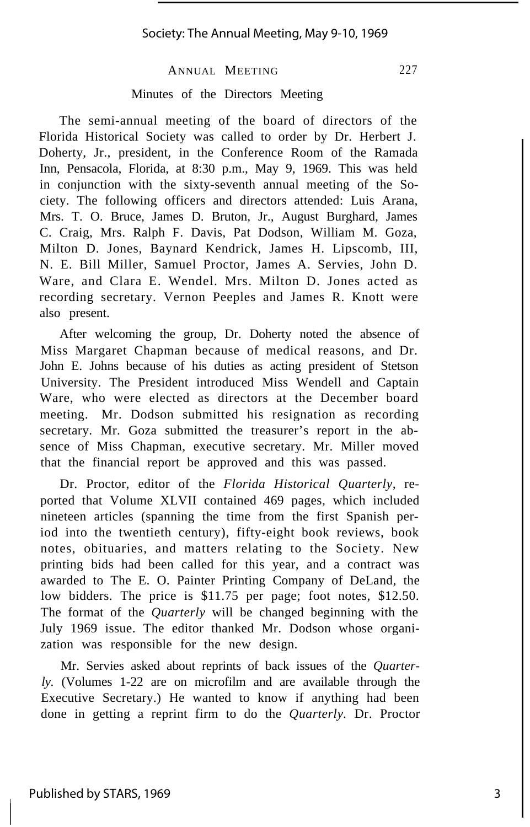#### Minutes of the Directors Meeting

The semi-annual meeting of the board of directors of the Florida Historical Society was called to order by Dr. Herbert J. Doherty, Jr., president, in the Conference Room of the Ramada Inn, Pensacola, Florida, at 8:30 p.m., May 9, 1969. This was held in conjunction with the sixty-seventh annual meeting of the Society. The following officers and directors attended: Luis Arana, Mrs. T. O. Bruce, James D. Bruton, Jr., August Burghard, James C. Craig, Mrs. Ralph F. Davis, Pat Dodson, William M. Goza, Milton D. Jones, Baynard Kendrick, James H. Lipscomb, III, N. E. Bill Miller, Samuel Proctor, James A. Servies, John D. Ware, and Clara E. Wendel. Mrs. Milton D. Jones acted as recording secretary. Vernon Peeples and James R. Knott were also present.

After welcoming the group, Dr. Doherty noted the absence of Miss Margaret Chapman because of medical reasons, and Dr. John E. Johns because of his duties as acting president of Stetson University. The President introduced Miss Wendell and Captain Ware, who were elected as directors at the December board meeting. Mr. Dodson submitted his resignation as recording secretary. Mr. Goza submitted the treasurer's report in the absence of Miss Chapman, executive secretary. Mr. Miller moved that the financial report be approved and this was passed.

Dr. Proctor, editor of the *Florida Historical Quarterly,* reported that Volume XLVII contained 469 pages, which included nineteen articles (spanning the time from the first Spanish period into the twentieth century), fifty-eight book reviews, book notes, obituaries, and matters relating to the Society. New printing bids had been called for this year, and a contract was awarded to The E. O. Painter Printing Company of DeLand, the low bidders. The price is \$11.75 per page; foot notes, \$12.50. The format of the *Quarterly* will be changed beginning with the July 1969 issue. The editor thanked Mr. Dodson whose organization was responsible for the new design.

Mr. Servies asked about reprints of back issues of the *Quarterly.* (Volumes 1-22 are on microfilm and are available through the Executive Secretary.) He wanted to know if anything had been done in getting a reprint firm to do the *Quarterly.* Dr. Proctor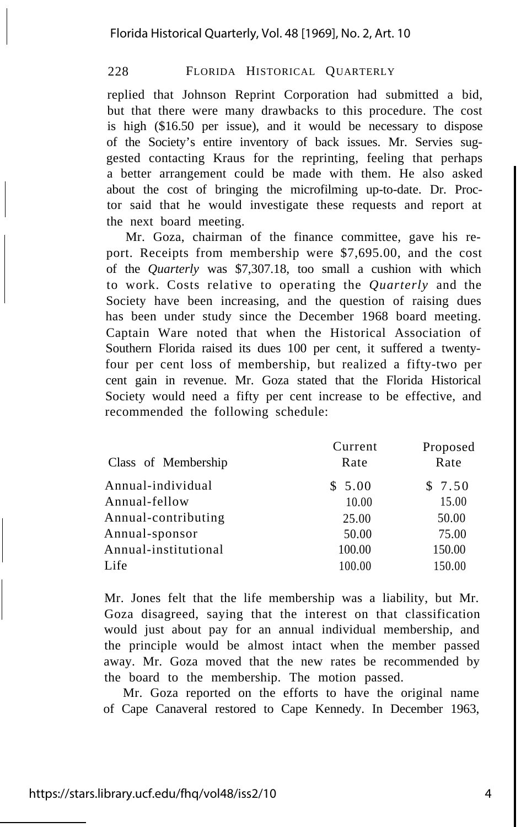replied that Johnson Reprint Corporation had submitted a bid, but that there were many drawbacks to this procedure. The cost is high (\$16.50 per issue), and it would be necessary to dispose of the Society's entire inventory of back issues. Mr. Servies suggested contacting Kraus for the reprinting, feeling that perhaps a better arrangement could be made with them. He also asked about the cost of bringing the microfilming up-to-date. Dr. Proctor said that he would investigate these requests and report at the next board meeting.

Mr. Goza, chairman of the finance committee, gave his report. Receipts from membership were \$7,695.00, and the cost of the *Quarterly* was \$7,307.18, too small a cushion with which to work. Costs relative to operating the *Quarterly* and the Society have been increasing, and the question of raising dues has been under study since the December 1968 board meeting. Captain Ware noted that when the Historical Association of Southern Florida raised its dues 100 per cent, it suffered a twentyfour per cent loss of membership, but realized a fifty-two per cent gain in revenue. Mr. Goza stated that the Florida Historical Society would need a fifty per cent increase to be effective, and recommended the following schedule:

|                      | Current | Proposed |
|----------------------|---------|----------|
| Class of Membership  | Rate    | Rate     |
| Annual-individual    | \$5.00  | \$7.50   |
| Annual-fellow        | 10.00   | 15.00    |
| Annual-contributing  | 25.00   | 50.00    |
| Annual-sponsor       | 50.00   | 75.00    |
| Annual-institutional | 100.00  | 150.00   |
| Life                 | 100.00  | 150.00   |
|                      |         |          |

Mr. Jones felt that the life membership was a liability, but Mr. Goza disagreed, saying that the interest on that classification would just about pay for an annual individual membership, and the principle would be almost intact when the member passed away. Mr. Goza moved that the new rates be recommended by the board to the membership. The motion passed.

Mr. Goza reported on the efforts to have the original name of Cape Canaveral restored to Cape Kennedy. In December 1963,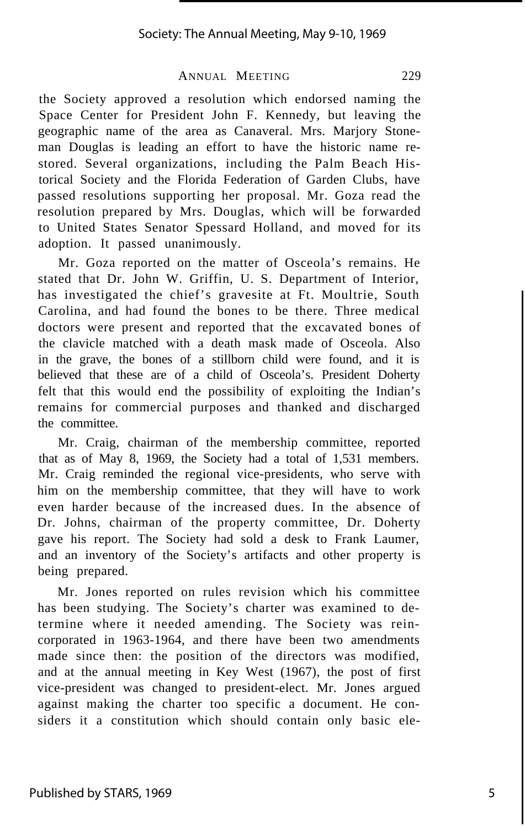the Society approved a resolution which endorsed naming the Space Center for President John F. Kennedy, but leaving the geographic name of the area as Canaveral. Mrs. Marjory Stoneman Douglas is leading an effort to have the historic name restored. Several organizations, including the Palm Beach Historical Society and the Florida Federation of Garden Clubs, have passed resolutions supporting her proposal. Mr. Goza read the resolution prepared by Mrs. Douglas, which will be forwarded to United States Senator Spessard Holland, and moved for its adoption. It passed unanimously.

Mr. Goza reported on the matter of Osceola's remains. He stated that Dr. John W. Griffin, U. S. Department of Interior, has investigated the chief's gravesite at Ft. Moultrie, South Carolina, and had found the bones to be there. Three medical doctors were present and reported that the excavated bones of the clavicle matched with a death mask made of Osceola. Also in the grave, the bones of a stillborn child were found, and it is believed that these are of a child of Osceola's. President Doherty felt that this would end the possibility of exploiting the Indian's remains for commercial purposes and thanked and discharged the committee.

Mr. Craig, chairman of the membership committee, reported that as of May 8, 1969, the Society had a total of 1,531 members. Mr. Craig reminded the regional vice-presidents, who serve with him on the membership committee, that they will have to work even harder because of the increased dues. In the absence of Dr. Johns, chairman of the property committee, Dr. Doherty gave his report. The Society had sold a desk to Frank Laumer, and an inventory of the Society's artifacts and other property is being prepared.

Mr. Jones reported on rules revision which his committee has been studying. The Society's charter was examined to determine where it needed amending. The Society was reincorporated in 1963-1964, and there have been two amendments made since then: the position of the directors was modified, and at the annual meeting in Key West (1967), the post of first vice-president was changed to president-elect. Mr. Jones argued against making the charter too specific a document. He considers it a constitution which should contain only basic ele-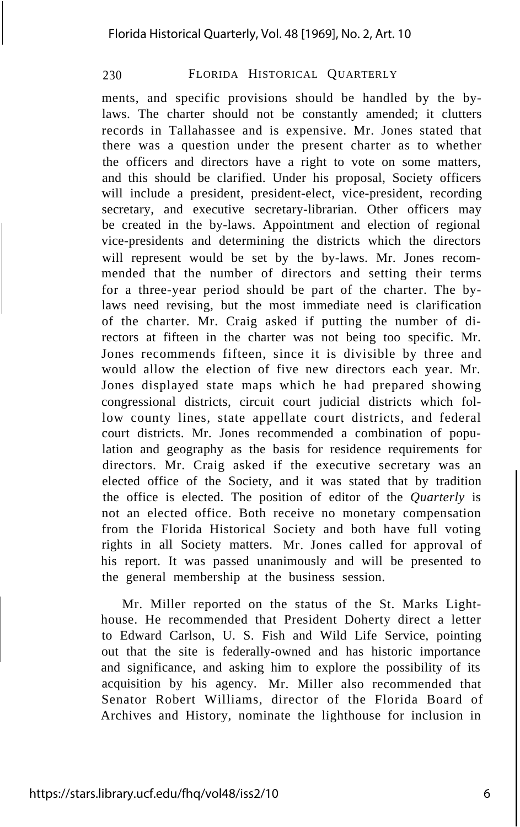ments, and specific provisions should be handled by the bylaws. The charter should not be constantly amended; it clutters records in Tallahassee and is expensive. Mr. Jones stated that there was a question under the present charter as to whether the officers and directors have a right to vote on some matters, and this should be clarified. Under his proposal, Society officers will include a president, president-elect, vice-president, recording secretary, and executive secretary-librarian. Other officers may be created in the by-laws. Appointment and election of regional vice-presidents and determining the districts which the directors will represent would be set by the by-laws. Mr. Jones recommended that the number of directors and setting their terms for a three-year period should be part of the charter. The bylaws need revising, but the most immediate need is clarification of the charter. Mr. Craig asked if putting the number of directors at fifteen in the charter was not being too specific. Mr. Jones recommends fifteen, since it is divisible by three and would allow the election of five new directors each year. Mr. Jones displayed state maps which he had prepared showing congressional districts, circuit court judicial districts which follow county lines, state appellate court districts, and federal court districts. Mr. Jones recommended a combination of population and geography as the basis for residence requirements for directors. Mr. Craig asked if the executive secretary was an elected office of the Society, and it was stated that by tradition the office is elected. The position of editor of the *Quarterly* is not an elected office. Both receive no monetary compensation from the Florida Historical Society and both have full voting rights in all Society matters. Mr. Jones called for approval of his report. It was passed unanimously and will be presented to the general membership at the business session.

Mr. Miller reported on the status of the St. Marks Lighthouse. He recommended that President Doherty direct a letter to Edward Carlson, U. S. Fish and Wild Life Service, pointing out that the site is federally-owned and has historic importance and significance, and asking him to explore the possibility of its acquisition by his agency. Mr. Miller also recommended that Senator Robert Williams, director of the Florida Board of Archives and History, nominate the lighthouse for inclusion in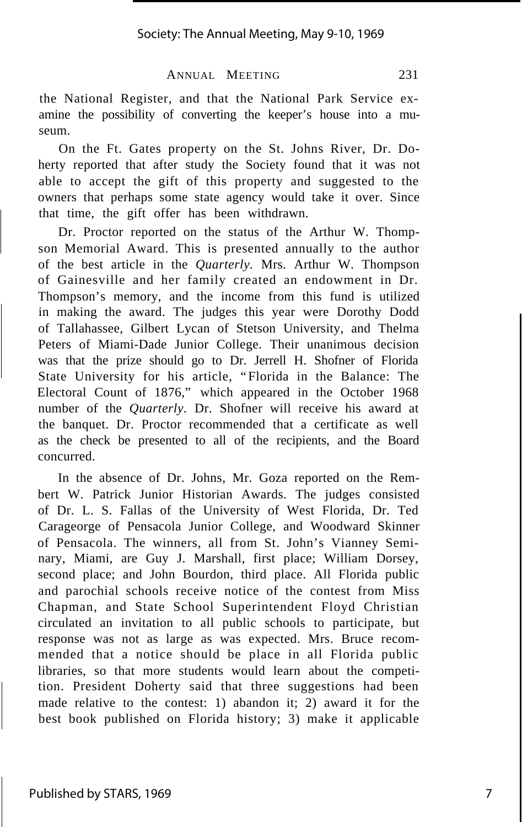the National Register, and that the National Park Service examine the possibility of converting the keeper's house into a museum.

On the Ft. Gates property on the St. Johns River, Dr. Doherty reported that after study the Society found that it was not able to accept the gift of this property and suggested to the owners that perhaps some state agency would take it over. Since that time, the gift offer has been withdrawn.

Dr. Proctor reported on the status of the Arthur W. Thompson Memorial Award. This is presented annually to the author of the best article in the *Quarterly.* Mrs. Arthur W. Thompson of Gainesville and her family created an endowment in Dr. Thompson's memory, and the income from this fund is utilized in making the award. The judges this year were Dorothy Dodd of Tallahassee, Gilbert Lycan of Stetson University, and Thelma Peters of Miami-Dade Junior College. Their unanimous decision was that the prize should go to Dr. Jerrell H. Shofner of Florida State University for his article, "Florida in the Balance: The Electoral Count of 1876," which appeared in the October 1968 number of the *Quarterly.* Dr. Shofner will receive his award at the banquet. Dr. Proctor recommended that a certificate as well as the check be presented to all of the recipients, and the Board concurred.

In the absence of Dr. Johns, Mr. Goza reported on the Rembert W. Patrick Junior Historian Awards. The judges consisted of Dr. L. S. Fallas of the University of West Florida, Dr. Ted Carageorge of Pensacola Junior College, and Woodward Skinner of Pensacola. The winners, all from St. John's Vianney Seminary, Miami, are Guy J. Marshall, first place; William Dorsey, second place; and John Bourdon, third place. All Florida public and parochial schools receive notice of the contest from Miss Chapman, and State School Superintendent Floyd Christian circulated an invitation to all public schools to participate, but response was not as large as was expected. Mrs. Bruce recommended that a notice should be place in all Florida public libraries, so that more students would learn about the competition. President Doherty said that three suggestions had been made relative to the contest: 1) abandon it; 2) award it for the best book published on Florida history; 3) make it applicable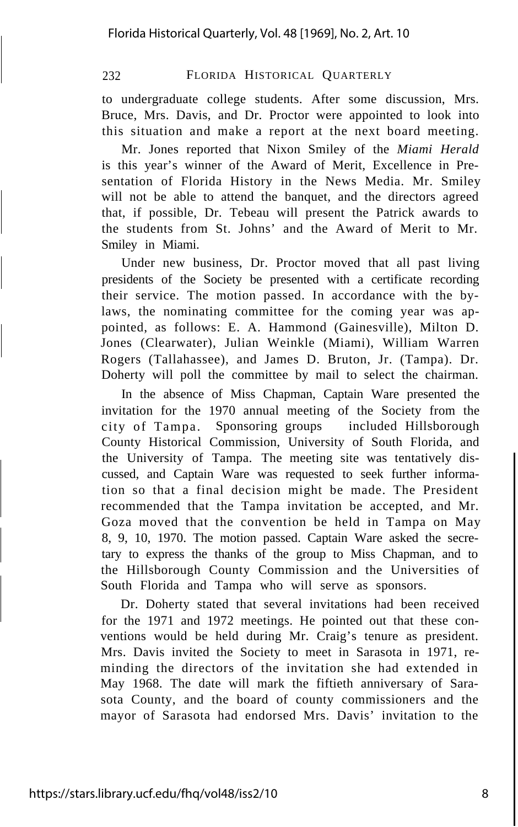to undergraduate college students. After some discussion, Mrs. Bruce, Mrs. Davis, and Dr. Proctor were appointed to look into this situation and make a report at the next board meeting.

Mr. Jones reported that Nixon Smiley of the *Miami Herald* is this year's winner of the Award of Merit, Excellence in Presentation of Florida History in the News Media. Mr. Smiley will not be able to attend the banquet, and the directors agreed that, if possible, Dr. Tebeau will present the Patrick awards to the students from St. Johns' and the Award of Merit to Mr. Smiley in Miami.

Under new business, Dr. Proctor moved that all past living presidents of the Society be presented with a certificate recording their service. The motion passed. In accordance with the bylaws, the nominating committee for the coming year was appointed, as follows: E. A. Hammond (Gainesville), Milton D. Jones (Clearwater), Julian Weinkle (Miami), William Warren Rogers (Tallahassee), and James D. Bruton, Jr. (Tampa). Dr. Doherty will poll the committee by mail to select the chairman.

In the absence of Miss Chapman, Captain Ware presented the invitation for the 1970 annual meeting of the Society from the city of Tampa. Sponsoring groups included Hillsborough County Historical Commission, University of South Florida, and the University of Tampa. The meeting site was tentatively discussed, and Captain Ware was requested to seek further information so that a final decision might be made. The President recommended that the Tampa invitation be accepted, and Mr. Goza moved that the convention be held in Tampa on May 8, 9, 10, 1970. The motion passed. Captain Ware asked the secretary to express the thanks of the group to Miss Chapman, and to the Hillsborough County Commission and the Universities of South Florida and Tampa who will serve as sponsors.

Dr. Doherty stated that several invitations had been received for the 1971 and 1972 meetings. He pointed out that these conventions would be held during Mr. Craig's tenure as president. Mrs. Davis invited the Society to meet in Sarasota in 1971, reminding the directors of the invitation she had extended in May 1968. The date will mark the fiftieth anniversary of Sarasota County, and the board of county commissioners and the mayor of Sarasota had endorsed Mrs. Davis' invitation to the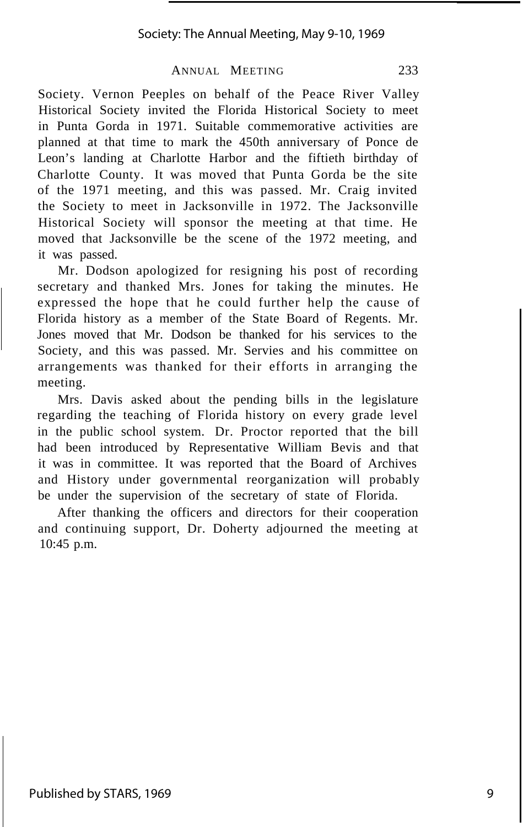Society. Vernon Peeples on behalf of the Peace River Valley Historical Society invited the Florida Historical Society to meet in Punta Gorda in 1971. Suitable commemorative activities are planned at that time to mark the 450th anniversary of Ponce de Leon's landing at Charlotte Harbor and the fiftieth birthday of Charlotte County. It was moved that Punta Gorda be the site of the 1971 meeting, and this was passed. Mr. Craig invited the Society to meet in Jacksonville in 1972. The Jacksonville Historical Society will sponsor the meeting at that time. He moved that Jacksonville be the scene of the 1972 meeting, and it was passed.

Mr. Dodson apologized for resigning his post of recording secretary and thanked Mrs. Jones for taking the minutes. He expressed the hope that he could further help the cause of Florida history as a member of the State Board of Regents. Mr. Jones moved that Mr. Dodson be thanked for his services to the Society, and this was passed. Mr. Servies and his committee on arrangements was thanked for their efforts in arranging the meeting.

Mrs. Davis asked about the pending bills in the legislature regarding the teaching of Florida history on every grade level in the public school system. Dr. Proctor reported that the bill had been introduced by Representative William Bevis and that it was in committee. It was reported that the Board of Archives and History under governmental reorganization will probably be under the supervision of the secretary of state of Florida.

After thanking the officers and directors for their cooperation and continuing support, Dr. Doherty adjourned the meeting at 10:45 p.m.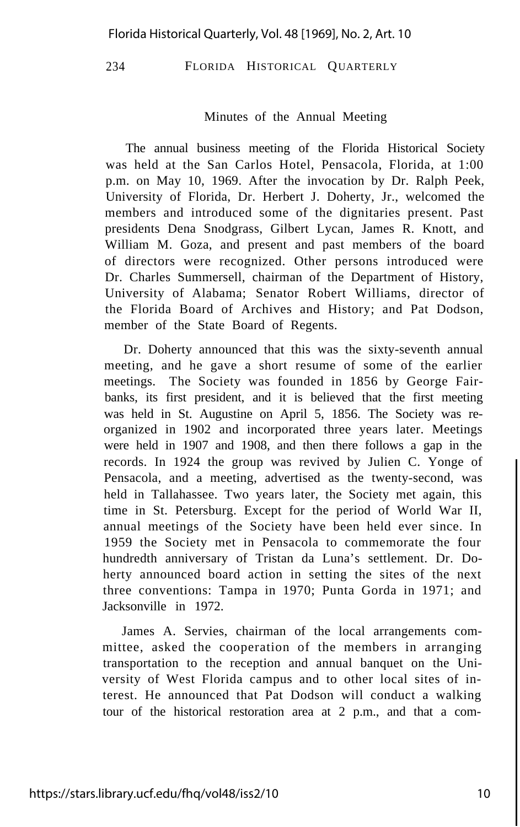#### Minutes of the Annual Meeting

The annual business meeting of the Florida Historical Society was held at the San Carlos Hotel, Pensacola, Florida, at 1:00 p.m. on May 10, 1969. After the invocation by Dr. Ralph Peek, University of Florida, Dr. Herbert J. Doherty, Jr., welcomed the members and introduced some of the dignitaries present. Past presidents Dena Snodgrass, Gilbert Lycan, James R. Knott, and William M. Goza, and present and past members of the board of directors were recognized. Other persons introduced were Dr. Charles Summersell, chairman of the Department of History, University of Alabama; Senator Robert Williams, director of the Florida Board of Archives and History; and Pat Dodson, member of the State Board of Regents.

Dr. Doherty announced that this was the sixty-seventh annual meeting, and he gave a short resume of some of the earlier meetings. The Society was founded in 1856 by George Fairbanks, its first president, and it is believed that the first meeting was held in St. Augustine on April 5, 1856. The Society was reorganized in 1902 and incorporated three years later. Meetings were held in 1907 and 1908, and then there follows a gap in the records. In 1924 the group was revived by Julien C. Yonge of Pensacola, and a meeting, advertised as the twenty-second, was held in Tallahassee. Two years later, the Society met again, this time in St. Petersburg. Except for the period of World War II, annual meetings of the Society have been held ever since. In 1959 the Society met in Pensacola to commemorate the four hundredth anniversary of Tristan da Luna's settlement. Dr. Doherty announced board action in setting the sites of the next three conventions: Tampa in 1970; Punta Gorda in 1971; and Jacksonville in 1972.

James A. Servies, chairman of the local arrangements committee, asked the cooperation of the members in arranging transportation to the reception and annual banquet on the University of West Florida campus and to other local sites of interest. He announced that Pat Dodson will conduct a walking tour of the historical restoration area at 2 p.m., and that a com-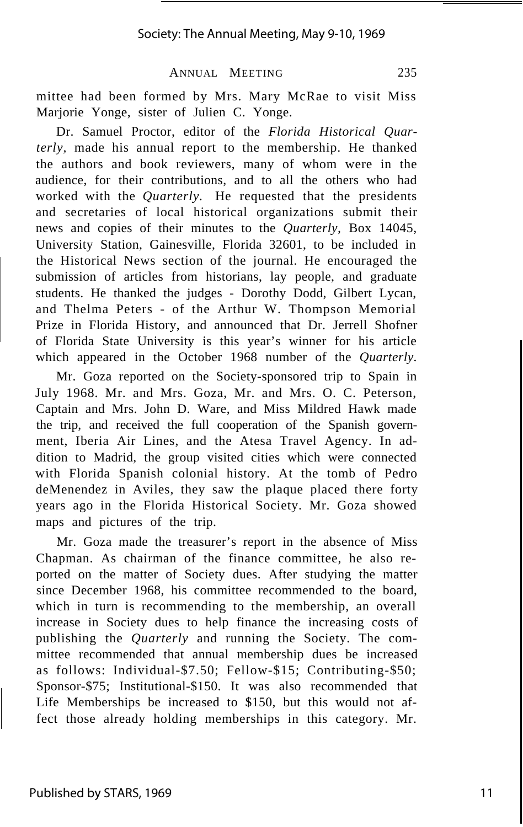mittee had been formed by Mrs. Mary McRae to visit Miss Marjorie Yonge, sister of Julien C. Yonge.

Dr. Samuel Proctor, editor of the *Florida Historical Quarterly,* made his annual report to the membership. He thanked the authors and book reviewers, many of whom were in the audience, for their contributions, and to all the others who had worked with the *Quarterly.* He requested that the presidents and secretaries of local historical organizations submit their news and copies of their minutes to the *Quarterly,* Box 14045, University Station, Gainesville, Florida 32601, to be included in the Historical News section of the journal. He encouraged the submission of articles from historians, lay people, and graduate students. He thanked the judges - Dorothy Dodd, Gilbert Lycan, and Thelma Peters - of the Arthur W. Thompson Memorial Prize in Florida History, and announced that Dr. Jerrell Shofner of Florida State University is this year's winner for his article which appeared in the October 1968 number of the *Quarterly.*

Mr. Goza reported on the Society-sponsored trip to Spain in July 1968. Mr. and Mrs. Goza, Mr. and Mrs. O. C. Peterson, Captain and Mrs. John D. Ware, and Miss Mildred Hawk made the trip, and received the full cooperation of the Spanish government, Iberia Air Lines, and the Atesa Travel Agency. In addition to Madrid, the group visited cities which were connected with Florida Spanish colonial history. At the tomb of Pedro deMenendez in Aviles, they saw the plaque placed there forty years ago in the Florida Historical Society. Mr. Goza showed maps and pictures of the trip.

Mr. Goza made the treasurer's report in the absence of Miss Chapman. As chairman of the finance committee, he also reported on the matter of Society dues. After studying the matter since December 1968, his committee recommended to the board, which in turn is recommending to the membership, an overall increase in Society dues to help finance the increasing costs of publishing the *Quarterly* and running the Society. The committee recommended that annual membership dues be increased as follows: Individual-\$7.50; Fellow-\$15; Contributing-\$50; Sponsor-\$75; Institutional-\$150. It was also recommended that Life Memberships be increased to \$150, but this would not affect those already holding memberships in this category. Mr.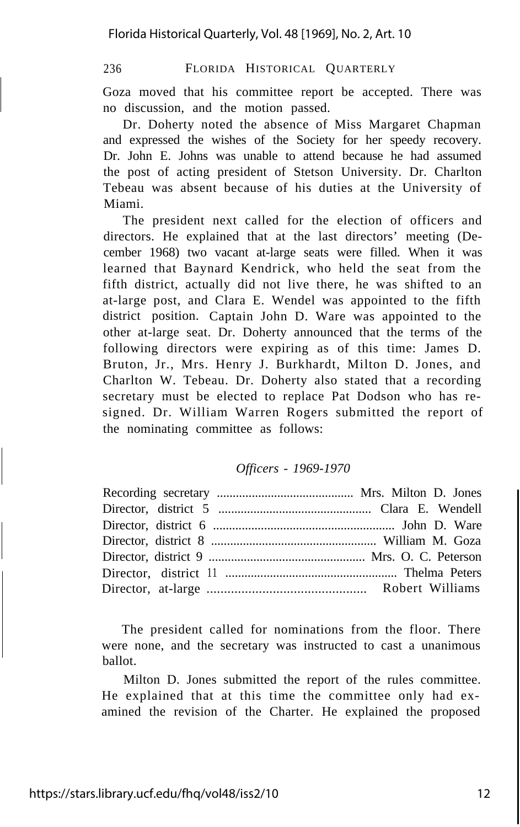Goza moved that his committee report be accepted. There was no discussion, and the motion passed.

Dr. Doherty noted the absence of Miss Margaret Chapman and expressed the wishes of the Society for her speedy recovery. Dr. John E. Johns was unable to attend because he had assumed the post of acting president of Stetson University. Dr. Charlton Tebeau was absent because of his duties at the University of Miami.

The president next called for the election of officers and directors. He explained that at the last directors' meeting (December 1968) two vacant at-large seats were filled. When it was learned that Baynard Kendrick, who held the seat from the fifth district, actually did not live there, he was shifted to an at-large post, and Clara E. Wendel was appointed to the fifth district position. Captain John D. Ware was appointed to the other at-large seat. Dr. Doherty announced that the terms of the following directors were expiring as of this time: James D. Bruton, Jr., Mrs. Henry J. Burkhardt, Milton D. Jones, and Charlton W. Tebeau. Dr. Doherty also stated that a recording secretary must be elected to replace Pat Dodson who has resigned. Dr. William Warren Rogers submitted the report of the nominating committee as follows:

#### *Officers - 1969-1970*

The president called for nominations from the floor. There were none, and the secretary was instructed to cast a unanimous ballot.

Milton D. Jones submitted the report of the rules committee. He explained that at this time the committee only had examined the revision of the Charter. He explained the proposed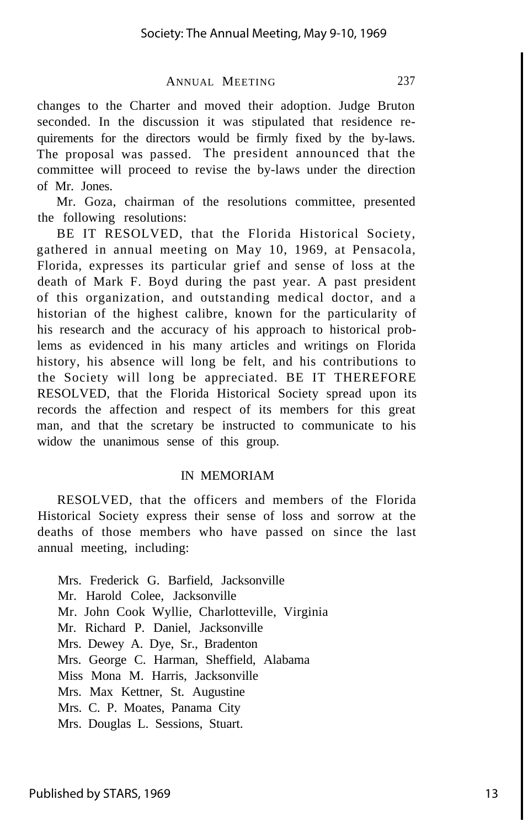changes to the Charter and moved their adoption. Judge Bruton seconded. In the discussion it was stipulated that residence requirements for the directors would be firmly fixed by the by-laws. The proposal was passed. The president announced that the committee will proceed to revise the by-laws under the direction of Mr. Jones.

Mr. Goza, chairman of the resolutions committee, presented the following resolutions:

BE IT RESOLVED, that the Florida Historical Society, gathered in annual meeting on May 10, 1969, at Pensacola, Florida, expresses its particular grief and sense of loss at the death of Mark F. Boyd during the past year. A past president of this organization, and outstanding medical doctor, and a historian of the highest calibre, known for the particularity of his research and the accuracy of his approach to historical problems as evidenced in his many articles and writings on Florida history, his absence will long be felt, and his contributions to the Society will long be appreciated. BE IT THEREFORE RESOLVED, that the Florida Historical Society spread upon its records the affection and respect of its members for this great man, and that the scretary be instructed to communicate to his widow the unanimous sense of this group.

#### IN MEMORIAM

RESOLVED, that the officers and members of the Florida Historical Society express their sense of loss and sorrow at the deaths of those members who have passed on since the last annual meeting, including:

Mrs. Frederick G. Barfield, Jacksonville Mr. Harold Colee, Jacksonville Mr. John Cook Wyllie, Charlotteville, Virginia Mr. Richard P. Daniel, Jacksonville Mrs. Dewey A. Dye, Sr., Bradenton Mrs. George C. Harman, Sheffield, Alabama Miss Mona M. Harris, Jacksonville Mrs. Max Kettner, St. Augustine Mrs. C. P. Moates, Panama City Mrs. Douglas L. Sessions, Stuart.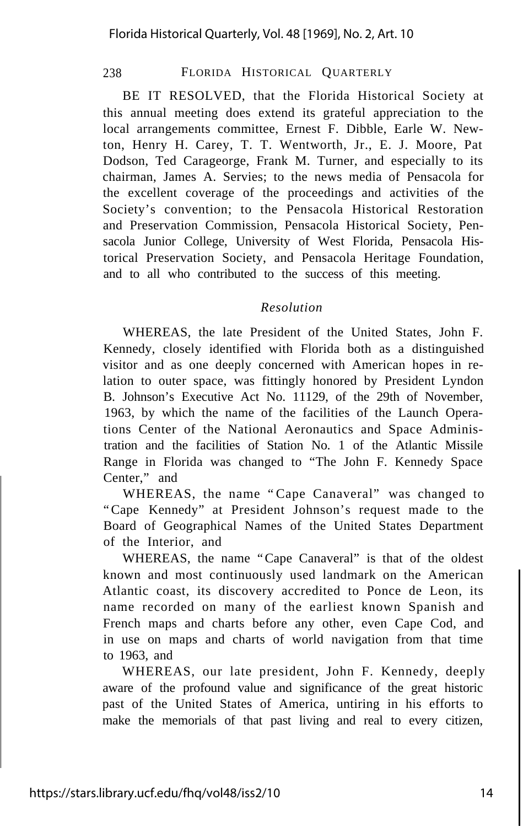BE IT RESOLVED, that the Florida Historical Society at this annual meeting does extend its grateful appreciation to the local arrangements committee, Ernest F. Dibble, Earle W. Newton, Henry H. Carey, T. T. Wentworth, Jr., E. J. Moore, Pat Dodson, Ted Carageorge, Frank M. Turner, and especially to its chairman, James A. Servies; to the news media of Pensacola for the excellent coverage of the proceedings and activities of the Society's convention; to the Pensacola Historical Restoration and Preservation Commission, Pensacola Historical Society, Pensacola Junior College, University of West Florida, Pensacola Historical Preservation Society, and Pensacola Heritage Foundation, and to all who contributed to the success of this meeting.

#### *Resolution*

WHEREAS, the late President of the United States, John F. Kennedy, closely identified with Florida both as a distinguished visitor and as one deeply concerned with American hopes in relation to outer space, was fittingly honored by President Lyndon B. Johnson's Executive Act No. 11129, of the 29th of November, 1963, by which the name of the facilities of the Launch Operations Center of the National Aeronautics and Space Administration and the facilities of Station No. 1 of the Atlantic Missile Range in Florida was changed to "The John F. Kennedy Space Center," and

WHEREAS, the name "Cape Canaveral" was changed to "Cape Kennedy" at President Johnson's request made to the Board of Geographical Names of the United States Department of the Interior, and

WHEREAS, the name "Cape Canaveral" is that of the oldest known and most continuously used landmark on the American Atlantic coast, its discovery accredited to Ponce de Leon, its name recorded on many of the earliest known Spanish and French maps and charts before any other, even Cape Cod, and in use on maps and charts of world navigation from that time to 1963, and

WHEREAS, our late president, John F. Kennedy, deeply aware of the profound value and significance of the great historic past of the United States of America, untiring in his efforts to make the memorials of that past living and real to every citizen,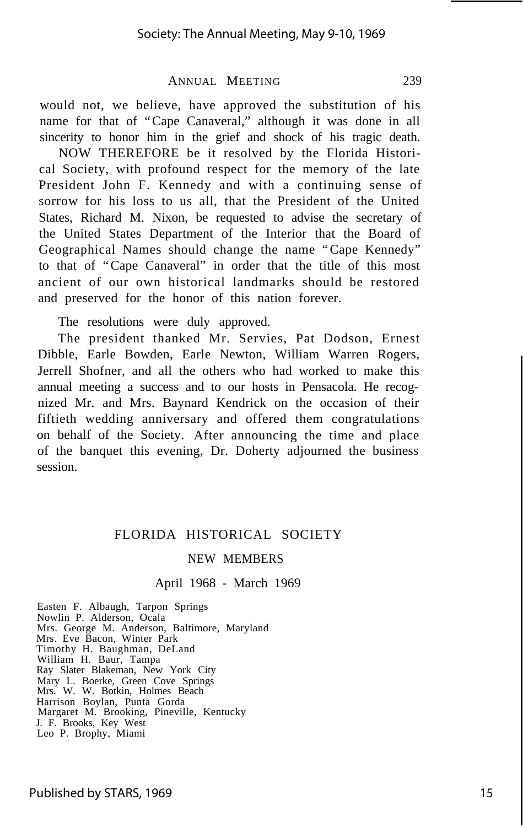would not, we believe, have approved the substitution of his name for that of "Cape Canaveral," although it was done in all sincerity to honor him in the grief and shock of his tragic death.

NOW THEREFORE be it resolved by the Florida Historical Society, with profound respect for the memory of the late President John F. Kennedy and with a continuing sense of sorrow for his loss to us all, that the President of the United States, Richard M. Nixon, be requested to advise the secretary of the United States Department of the Interior that the Board of Geographical Names should change the name "Cape Kennedy" to that of "Cape Canaveral" in order that the title of this most ancient of our own historical landmarks should be restored and preserved for the honor of this nation forever.

The resolutions were duly approved.

The president thanked Mr. Servies, Pat Dodson, Ernest Dibble, Earle Bowden, Earle Newton, William Warren Rogers, Jerrell Shofner, and all the others who had worked to make this annual meeting a success and to our hosts in Pensacola. He recognized Mr. and Mrs. Baynard Kendrick on the occasion of their fiftieth wedding anniversary and offered them congratulations on behalf of the Society. After announcing the time and place of the banquet this evening, Dr. Doherty adjourned the business session.

#### FLORIDA HISTORICAL SOCIETY

#### NEW MEMBERS

#### April 1968 - March 1969

Easten F. Albaugh, Tarpon Springs Nowlin P. Alderson, Ocala Mrs. George M. Anderson, Baltimore, Maryland Mrs. Eve Bacon, Winter Park Timothy H. Baughman, DeLand William H. Baur, Tampa Ray Slater Blakeman, New York City Mary L. Boerke, Green Cove Springs Mrs. W. W. Botkin, Holmes Beach Harrison Boylan, Punta Gorda Margaret M. Brooking, Pineville, Kentucky J. F. Brooks, Key West Leo P. Brophy, Miami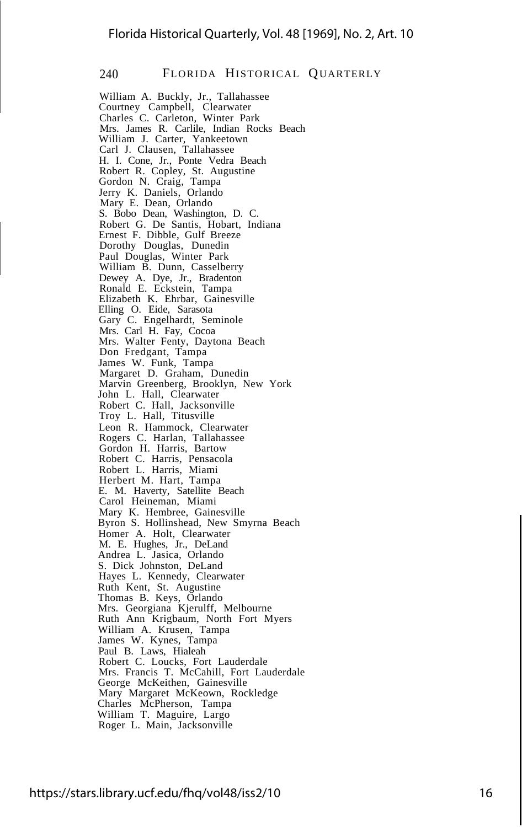William A. Buckly, Jr., Tallahassee Courtney Campbell, Clearwater Charles C. Carleton, Winter Park Mrs. James R. Carlile, Indian Rocks Beach William J. Carter, Yankeetown Carl J. Clausen, Tallahassee H. I. Cone, Jr., Ponte Vedra Beach Robert R. Copley, St. Augustine Gordon N. Craig, Tampa Jerry K. Daniels, Orlando Mary E. Dean, Orlando S. Bobo Dean, Washington, D. C. Robert G. De Santis, Hobart, Indiana Ernest F. Dibble, Gulf Breeze Dorothy Douglas, Dunedin Paul Douglas, Winter Park William B. Dunn, Casselberry Dewey A. Dye, Jr., Bradenton Ronald E. Eckstein, Tampa Elizabeth K. Ehrbar, Gainesville Elling O. Eide, Sarasota Gary C. Engelhardt, Seminole Mrs. Carl H. Fay, Cocoa Mrs. Walter Fenty, Daytona Beach Don Fredgant, Tampa James W. Funk, Tampa Margaret D. Graham, Dunedin Marvin Greenberg, Brooklyn, New York John L. Hall, Clearwater Robert C. Hall, Jacksonville Troy L. Hall, Titusville Leon R. Hammock, Clearwater Rogers C. Harlan, Tallahassee Gordon H. Harris, Bartow Robert C. Harris, Pensacola Robert L. Harris, Miami Herbert M. Hart, Tampa E. M. Haverty, Satellite Beach Carol Heineman, Miami Mary K. Hembree, Gainesville Byron S. Hollinshead, New Smyrna Beach Homer A. Holt, Clearwater M. E. Hughes, Jr., DeLand Andrea L. Jasica, Orlando S. Dick Johnston, DeLand Hayes L. Kennedy, Clearwater Ruth Kent, St. Augustine Thomas B. Keys, Orlando Mrs. Georgiana Kjerulff, Melbourne Ruth Ann Krigbaum, North Fort Myers William A. Krusen, Tampa James W. Kynes, Tampa Paul B. Laws, Hialeah Robert C. Loucks, Fort Lauderdale Mrs. Francis T. McCahill, Fort Lauderdale George McKeithen, Gainesville Mary Margaret McKeown, Rockledge Charles McPherson, Tampa William T. Maguire, Largo Roger L. Main, Jacksonville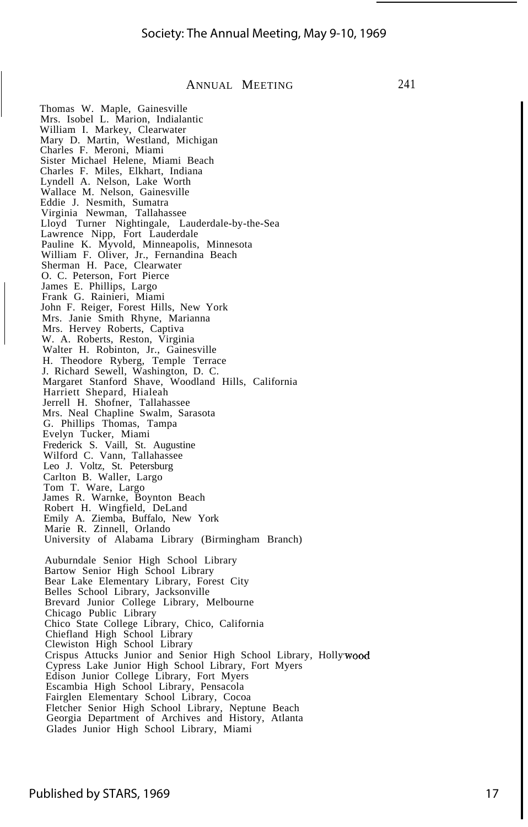241

#### ANNUAL MEETING

Thomas W. Maple, Gainesville Mrs. Isobel L. Marion, Indialantic William I. Markey, Clearwater Mary D. Martin, Westland, Michigan Charles F. Meroni, Miami Sister Michael Helene, Miami Beach Charles F. Miles, Elkhart, Indiana Lyndell A. Nelson, Lake Worth Wallace M. Nelson, Gainesville Eddie J. Nesmith, Sumatra Virginia Newman, Tallahassee Lloyd Turner Nightingale, Lauderdale-by-the-Sea Lawrence Nipp, Fort Lauderdale Pauline K. Myvold, Minneapolis, Minnesota William F. Oliver, Jr., Fernandina Beach Sherman H. Pace, Clearwater O. C. Peterson, Fort Pierce James E. Phillips, Largo Frank G. Rainieri, Miami John F. Reiger, Forest Hills, New York Mrs. Janie Smith Rhyne, Marianna Mrs. Hervey Roberts, Captiva W. A. Roberts, Reston, Virginia Walter H. Robinton, Jr., Gainesville H. Theodore Ryberg, Temple Terrace J. Richard Sewell, Washington, D. C. Margaret Stanford Shave, Woodland Hills, California Harriett Shepard, Hialeah Jerrell H. Shofner, Tallahassee Mrs. Neal Chapline Swalm, Sarasota G. Phillips Thomas, Tampa Evelyn Tucker, Miami Frederick S. Vaill, St. Augustine Wilford C. Vann, Tallahassee Leo J. Voltz, St. Petersburg Carlton B. Waller, Largo Tom T. Ware, Largo James R. Warnke, Boynton Beach Robert H. Wingfield, DeLand Emily A. Ziemba, Buffalo, New York Marie R. Zinnell, Orlando University of Alabama Library (Birmingham Branch) Auburndale Senior High School Library Bartow Senior High School Library Bear Lake Elementary Library, Forest City Belles School Library, Jacksonville Brevard Junior College Library, Melbourne Chicago Public Library Chico State College Library, Chico, California Chiefland High School Library Clewiston High School Library Crispus Attucks Junior and Senior High School Library, Holly Cypress Lake Junior High School Library, Fort Myers Edison Junior College Library, Fort Myers Escambia High School Library, Pensacola Fairglen Elementary School Library, Cocoa Fletcher Senior High School Library, Neptune Beach Georgia Department of Archives and History, Atlanta Glades Junior High School Library, Miami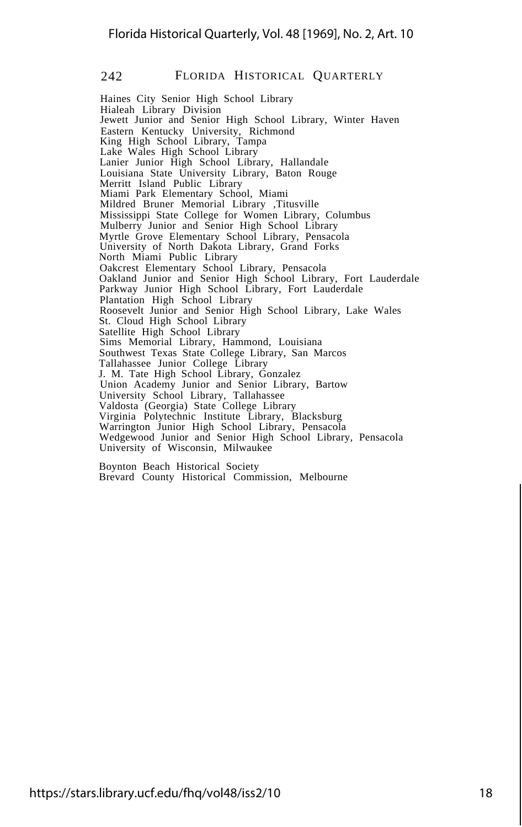Haines City Senior High School Library Hialeah Library Division Jewett Junior and Senior High School Library, Winter Haven Eastern Kentucky University, Richmond King High School Library, Tampa Lake Wales High School Library Lanier Junior High School Library, Hallandale Louisiana State University Library, Baton Rouge Merritt Island Public Library Miami Park Elementary School, Miami Mildred Bruner Memorial Library ,Titusville Mississippi State College for Women Library, Columbus Mulberry Junior and Senior High School Library Myrtle Grove Elementary School Library, Pensacola University of North Dakota Library, Grand Forks North Miami Public Library Oakcrest Elementary School Library, Pensacola Oakland Junior and Senior High School Library, Fort Lauderdale Parkway Junior High School Library, Fort Lauderdale Plantation High School Library Roosevelt Junior and Senior High School Library, Lake Wales St. Cloud High School Library Satellite High School Library Sims Memorial Library, Hammond, Louisiana Southwest Texas State College Library, San Marcos Tallahassee Junior College Library J. M. Tate High School Library, Gonzalez Union Academy Junior and Senior Library, Bartow University School Library, Tallahassee Valdosta (Georgia) State College Library Virginia Polytechnic Institute Library, Blacksburg Warrington Junior High School Library, Pensacola Wedgewood Junior and Senior High School Library, Pensacola University of Wisconsin, Milwaukee

Boynton Beach Historical Society Brevard County Historical Commission, Melbourne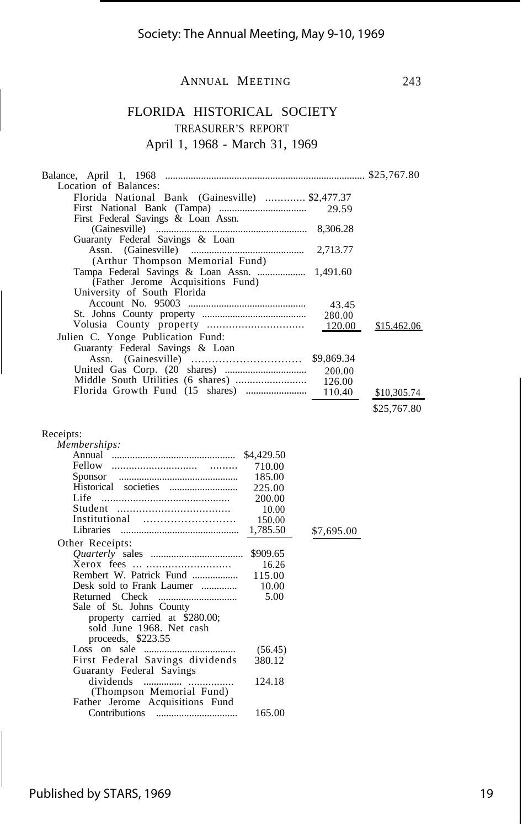FLORIDA HISTORICAL SOCIETY TREASURER'S REPORT April 1, 1968 - March 31, 1969

| Location of Balances:                           |          |             |
|-------------------------------------------------|----------|-------------|
| Florida National Bank (Gainesville)  \$2,477.37 |          |             |
|                                                 |          |             |
| First Federal Savings & Loan Assn.              |          |             |
|                                                 | 8,306.28 |             |
| Guaranty Federal Savings & Loan                 |          |             |
|                                                 |          |             |
| (Arthur Thompson Memorial Fund)                 |          |             |
| Tampa Federal Savings & Loan Assn.  1,491.60    |          |             |
| (Father Jerome Acquisitions Fund)               |          |             |
| University of South Florida                     |          |             |
|                                                 |          |             |
|                                                 |          |             |
|                                                 |          | \$15,462.06 |
| Julien C. Yonge Publication Fund:               |          |             |
| Guaranty Federal Savings & Loan                 |          |             |
|                                                 |          |             |
|                                                 |          |             |
|                                                 |          |             |
|                                                 |          | \$10,305.74 |
|                                                 |          | \$25,767.80 |

| Receipts:                       |            |            |
|---------------------------------|------------|------------|
| Memberships:                    |            |            |
|                                 | \$4,429.50 |            |
|                                 | 710.00     |            |
| Sponsor                         | 185.00     |            |
|                                 | 225.00     |            |
| Life                            | 200.00     |            |
|                                 | 10.00      |            |
| Institutional                   | 150.00     |            |
|                                 |            | \$7,695.00 |
| Other Receipts:                 |            |            |
|                                 | \$909.65   |            |
|                                 | 16.26      |            |
|                                 |            |            |
| Desk sold to Frank Laumer       | 10.00      |            |
| Returned Check                  | 5.00       |            |
| Sale of St. Johns County        |            |            |
| property carried at \$280.00;   |            |            |
| sold June 1968. Net cash        |            |            |
| proceeds, $$223.55$             |            |            |
| Loss on sale $\ldots$           | (56.45)    |            |
| First Federal Savings dividends | 380.12     |            |
| Guaranty Federal Savings        |            |            |
| dividends                       | 124.18     |            |
| (Thompson Memorial Fund)        |            |            |
| Father Jerome Acquisitions Fund |            |            |
|                                 | 165.00     |            |
|                                 |            |            |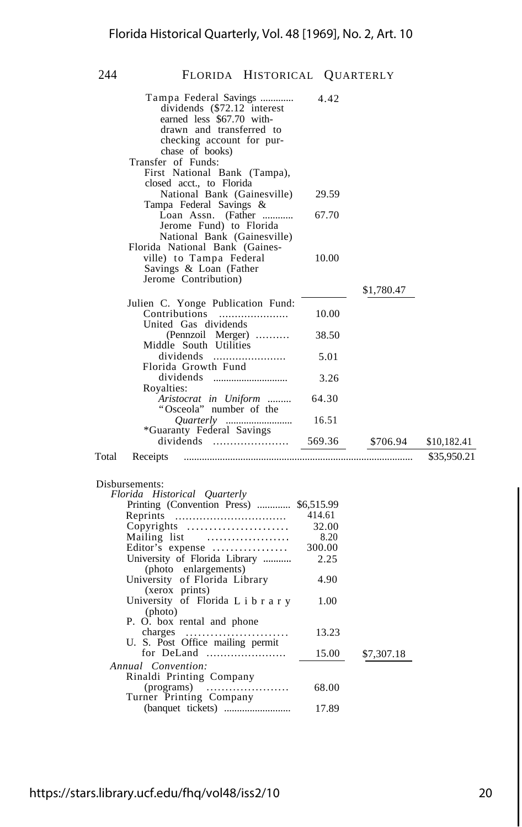| Tampa Federal Savings<br>dividends (\$72.12 interest<br>earned less \$67.70 with-<br>drawn and transferred to<br>checking account for pur-<br>chase of books)<br>Transfer of Funds: | 4.42   |            |             |
|-------------------------------------------------------------------------------------------------------------------------------------------------------------------------------------|--------|------------|-------------|
| First National Bank (Tampa),                                                                                                                                                        |        |            |             |
| closed acct., to Florida<br>National Bank (Gainesville)                                                                                                                             | 29.59  |            |             |
| Tampa Federal Savings &<br>Loan Assn. (Father                                                                                                                                       | 67.70  |            |             |
| Jerome Fund) to Florida<br>National Bank (Gainesville)                                                                                                                              |        |            |             |
| Florida National Bank (Gaines-<br>ville) to Tampa Federal<br>Savings & Loan (Father                                                                                                 | 10.00  |            |             |
| Jerome Contribution)                                                                                                                                                                |        | \$1,780.47 |             |
| Julien C. Yonge Publication Fund:                                                                                                                                                   |        |            |             |
| Contributions<br>United Gas dividends                                                                                                                                               | 10.00  |            |             |
| (Pennzoil Merger)<br>Middle South Utilities                                                                                                                                         | 38.50  |            |             |
| dividends<br>Florida Growth Fund                                                                                                                                                    | 5.01   |            |             |
|                                                                                                                                                                                     | 3.26   |            |             |
| Royalties:<br>Aristocrat in Uniform<br>"Osceola" number of the                                                                                                                      | 64.30  |            |             |
|                                                                                                                                                                                     | 16.51  |            |             |
| *Guaranty Federal Savings<br>dividends                                                                                                                                              | 569.36 | \$706.94   | \$10,182.41 |
| Total<br>Receipts                                                                                                                                                                   |        |            | \$35,950.21 |
| Disbursements:                                                                                                                                                                      |        |            |             |
| Florida Historical Quarterly                                                                                                                                                        |        |            |             |
| Printing (Convention Press)  \$6,515.99                                                                                                                                             |        |            |             |
| Reprints                                                                                                                                                                            | 414.61 |            |             |
| Copyrights                                                                                                                                                                          | 32.00  |            |             |
| Mailing list                                                                                                                                                                        | 8.20   |            |             |
| Editor's expense                                                                                                                                                                    | 300.00 |            |             |
| University of Florida Library<br>(photo enlargements)                                                                                                                               | 2.25   |            |             |
| University of Florida Library<br>(xerox prints)                                                                                                                                     | 4.90   |            |             |
| University of Florida Library<br>(photo)                                                                                                                                            | 1.00   |            |             |
| P. O. box rental and phone                                                                                                                                                          |        |            |             |
| charges                                                                                                                                                                             | 13.23  |            |             |
| U. S. Post Office mailing permit                                                                                                                                                    |        |            |             |
| for DeLand                                                                                                                                                                          | 15.00  | \$7,307.18 |             |
| Annual Convention:                                                                                                                                                                  |        |            |             |
| Rinaldi Printing Company                                                                                                                                                            |        |            |             |
| (programs)<br>Turner Printing Company                                                                                                                                               | 68.00  |            |             |
|                                                                                                                                                                                     | 17.89  |            |             |
|                                                                                                                                                                                     |        |            |             |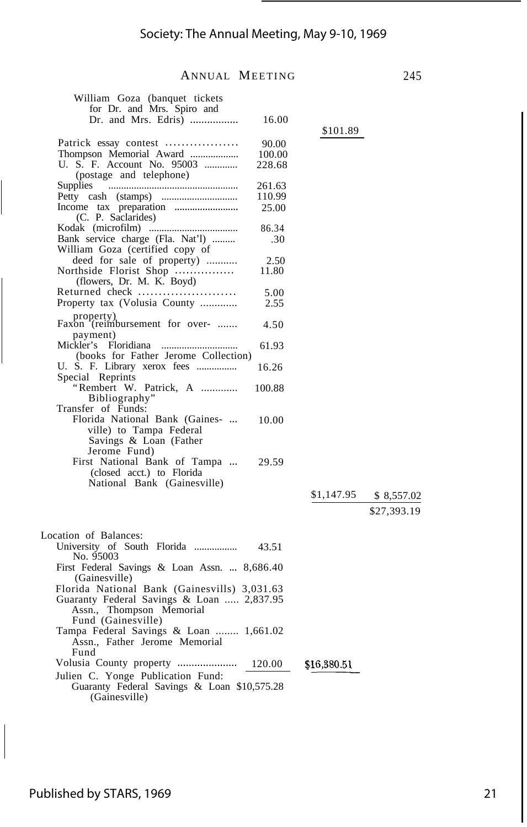| William Goza (banquet tickets<br>for Dr. and Mrs. Spiro and<br>Dr. and Mrs. Edris) | 16.00  |             |             |
|------------------------------------------------------------------------------------|--------|-------------|-------------|
|                                                                                    |        | \$101.89    |             |
| Patrick essay contest                                                              | 90.00  |             |             |
| Thompson Memorial Award                                                            | 100.00 |             |             |
| U. S. F. Account No. 95003                                                         | 228.68 |             |             |
| (postage and telephone)                                                            |        |             |             |
| Supplies                                                                           | 261.63 |             |             |
|                                                                                    | 110.99 |             |             |
|                                                                                    |        |             |             |
| (C. P. Saclarides)                                                                 | 25.00  |             |             |
|                                                                                    | 86.34  |             |             |
| Bank service charge (Fla. Nat'l)<br>William Goza (certified copy of                | .30    |             |             |
| deed for sale of property)                                                         | 2.50   |             |             |
| Northside Florist Shop<br>(flowers, Dr. M. K. Boyd)                                | 11.80  |             |             |
| Returned check                                                                     | 5.00   |             |             |
| Property tax (Volusia County                                                       | 2.55   |             |             |
| property)<br>Faxon (reimbursement for over-                                        |        |             |             |
| payment)                                                                           | 4.50   |             |             |
| (books for Father Jerome Collection)                                               | 61.93  |             |             |
| U. S. F. Library xerox fees                                                        | 16.26  |             |             |
| Special Reprints<br>"Rembert W. Patrick, A                                         | 100.88 |             |             |
| Bibliography"                                                                      |        |             |             |
| Transfer of Funds:                                                                 |        |             |             |
| Florida National Bank (Gaines-                                                     | 10.00  |             |             |
| ville) to Tampa Federal                                                            |        |             |             |
| Savings & Loan (Father                                                             |        |             |             |
| Jerome Fund)                                                                       |        |             |             |
| First National Bank of Tampa                                                       | 29.59  |             |             |
| (closed acct.) to Florida                                                          |        |             |             |
| National Bank (Gainesville)                                                        |        |             |             |
|                                                                                    |        |             |             |
|                                                                                    |        | \$1,147.95  | \$ 8,557.02 |
|                                                                                    |        |             | \$27,393.19 |
|                                                                                    |        |             |             |
| Location of Balances:                                                              |        |             |             |
| University of South Florida<br>No. 95003                                           | 43.51  |             |             |
| First Federal Savings & Loan Assn.  8,686.40                                       |        |             |             |
| (Gainesville)                                                                      |        |             |             |
| Florida National Bank (Gainesvills) 3,031.63                                       |        |             |             |
| Guaranty Federal Savings & Loan  2,837.95                                          |        |             |             |
| Assn., Thompson Memorial                                                           |        |             |             |
| Fund (Gainesville)                                                                 |        |             |             |
| Tampa Federal Savings & Loan  1,661.02                                             |        |             |             |
| Assn., Father Jerome Memorial                                                      |        |             |             |
| Fund                                                                               |        |             |             |
| Volusia County property                                                            | 120.00 | \$16,380.51 |             |
| Julien C. Yonge Publication Fund:                                                  |        |             |             |
| Guaranty Federal Savings & Loan \$10,575.28                                        |        |             |             |
| (Gainesville)                                                                      |        |             |             |

 $\begin{array}{c} \hline \end{array}$